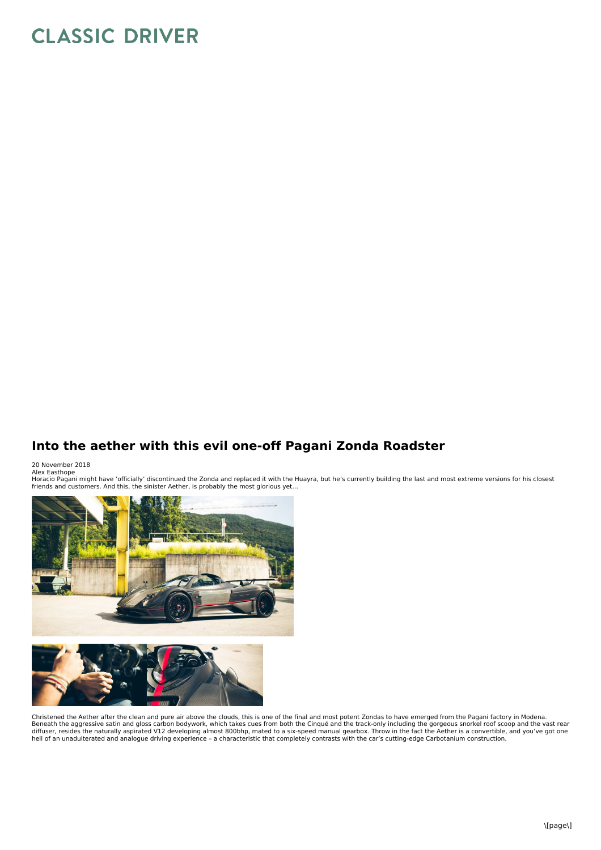## **CLASSIC DRIVER**

## **Into the aether with this evil one-off Pagani Zonda Roadster**

## 20 November 2018

Alex Easthope<br>Horacio Pagani might have 'officially' discontinued the Zonda and replaced it with the Huayra, but he's currently building the last and most extreme versions for his closest friends and customers. And this, the sinister Aether, is probably the most glorious yet…



Christened the Aether after the clean and pure air above the clouds, this is one of the final and most potent Zondas to have emerged from the Pagani factory in Modena. Beneath the aggressive satin and gloss carbon bodywork, which takes cues from both the Cinqué and the track-only including the gorgeous snorkel roof scoop and the vast rear<br>diffuser, resides the naturally aspirated V12 dev hell of an unadulterated and analogue driving experience – a characteristic that completely contrasts with the car's cutting-edge Carbotanium construction.